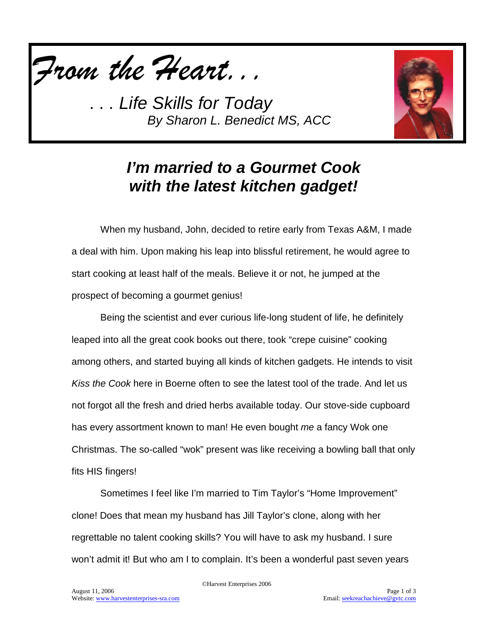



## *I'm married to a Gourmet Cook with the latest kitchen gadget!*

When my husband, John, decided to retire early from Texas A&M, I made a deal with him. Upon making his leap into blissful retirement, he would agree to start cooking at least half of the meals. Believe it or not, he jumped at the prospect of becoming a gourmet genius!

Being the scientist and ever curious life-long student of life, he definitely leaped into all the great cook books out there, took "crepe cuisine" cooking among others, and started buying all kinds of kitchen gadgets. He intends to visit *Kiss the Cook* here in Boerne often to see the latest tool of the trade. And let us not forgot all the fresh and dried herbs available today. Our stove-side cupboard has every assortment known to man! He even bought *me* a fancy Wok one Christmas. The so-called "wok" present was like receiving a bowling ball that only fits HIS fingers!

Sometimes I feel like I'm married to Tim Taylor's "Home Improvement" clone! Does that mean my husband has Jill Taylor's clone, along with her regrettable no talent cooking skills? You will have to ask my husband. I sure won't admit it! But who am I to complain. It's been a wonderful past seven years

©Harvest Enterprises 2006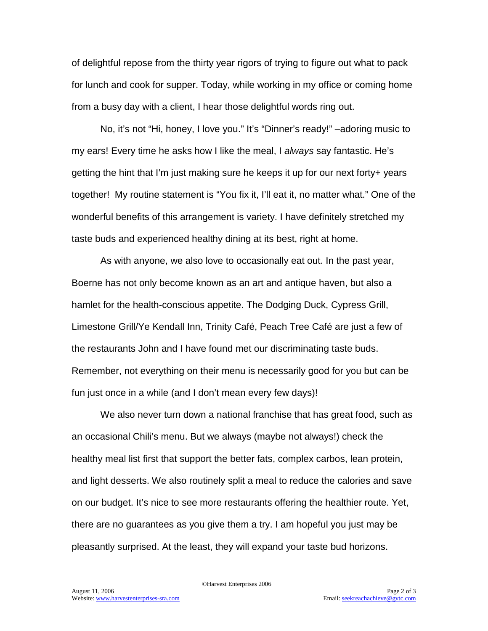of delightful repose from the thirty year rigors of trying to figure out what to pack for lunch and cook for supper. Today, while working in my office or coming home from a busy day with a client, I hear those delightful words ring out.

No, it's not "Hi, honey, I love you." It's "Dinner's ready!" –adoring music to my ears! Every time he asks how I like the meal, I *always* say fantastic. He's getting the hint that I'm just making sure he keeps it up for our next forty+ years together! My routine statement is "You fix it, I'll eat it, no matter what." One of the wonderful benefits of this arrangement is variety. I have definitely stretched my taste buds and experienced healthy dining at its best, right at home.

As with anyone, we also love to occasionally eat out. In the past year, Boerne has not only become known as an art and antique haven, but also a hamlet for the health-conscious appetite. The Dodging Duck, Cypress Grill, Limestone Grill/Ye Kendall Inn, Trinity Café, Peach Tree Café are just a few of the restaurants John and I have found met our discriminating taste buds. Remember, not everything on their menu is necessarily good for you but can be fun just once in a while (and I don't mean every few days)!

We also never turn down a national franchise that has great food, such as an occasional Chili's menu. But we always (maybe not always!) check the healthy meal list first that support the better fats, complex carbos, lean protein, and light desserts. We also routinely split a meal to reduce the calories and save on our budget. It's nice to see more restaurants offering the healthier route. Yet, there are no guarantees as you give them a try. I am hopeful you just may be pleasantly surprised. At the least, they will expand your taste bud horizons.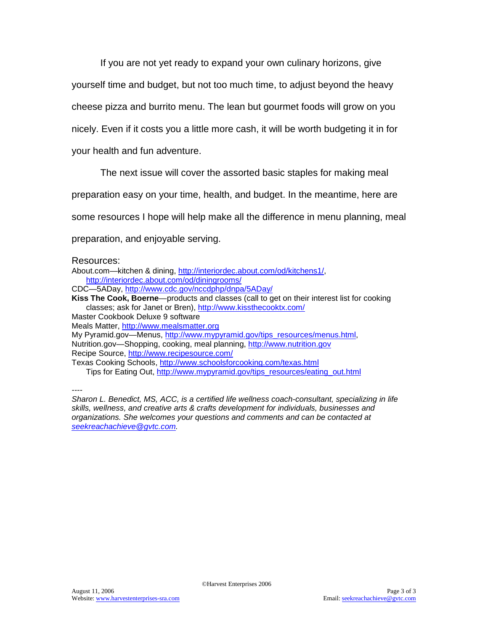If you are not yet ready to expand your own culinary horizons, give

yourself time and budget, but not too much time, to adjust beyond the heavy

cheese pizza and burrito menu. The lean but gourmet foods will grow on you

nicely. Even if it costs you a little more cash, it will be worth budgeting it in for

your health and fun adventure.

The next issue will cover the assorted basic staples for making meal

preparation easy on your time, health, and budget. In the meantime, here are

some resources I hope will help make all the difference in menu planning, meal

preparation, and enjoyable serving.

#### Resources:

About.com—kitchen & dining, [http://interiordec.about.com/od/kitchens1/,](http://interiordec.about.com/od/kitchens1/) <http://interiordec.about.com/od/diningrooms/>

CDC—5ADay,<http://www.cdc.gov/nccdphp/dnpa/5ADay/>

**Kiss The Cook, Boerne**—products and classes (call to get on their interest list for cooking classes; ask for Janet or Bren),<http://www.kissthecooktx.com/>

Master Cookbook Deluxe 9 software

Meals Matter, [http://www.mealsmatter.org](http://www.mealsmatter.org/)

My Pyramid.gov—Menus, [http://www.mypyramid.gov/tips\\_resources/menus.html,](http://www.mypyramid.gov/tips_resources/menus.html) Nutrition.gov—Shopping, cooking, meal planning, [http://www.nutrition.gov](http://www.nutrition.gov/) Recipe Source,<http://www.recipesource.com/>

Texas Cooking Schools,<http://www.schoolsforcooking.com/texas.html> Tips for Eating Out, [http://www.mypyramid.gov/tips\\_resources/eating\\_out.html](http://www.mypyramid.gov/tips_resources/eating_out.html)

*----*

*Sharon L. Benedict, MS, ACC, is a certified life wellness coach-consultant, specializing in life skills, wellness, and creative arts & crafts development for individuals, businesses and organizations. She welcomes your questions and comments and can be contacted at [seekreachachieve@gvtc.com.](mailto:seekreachachieve@gvtc.com)*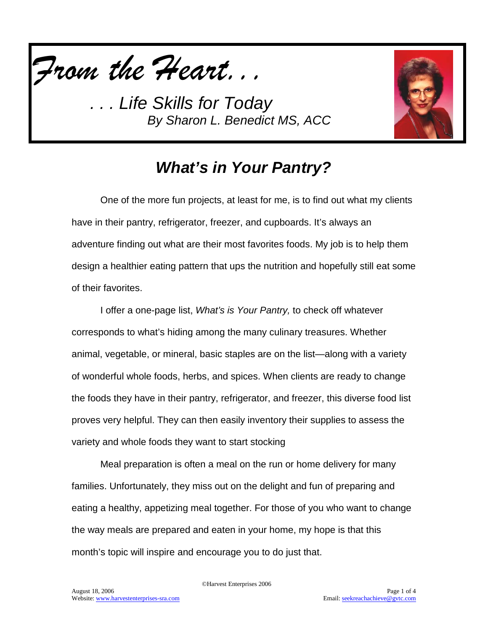



### *What's in Your Pantry?*

One of the more fun projects, at least for me, is to find out what my clients have in their pantry, refrigerator, freezer, and cupboards. It's always an adventure finding out what are their most favorites foods. My job is to help them design a healthier eating pattern that ups the nutrition and hopefully still eat some of their favorites.

I offer a one-page list, *What's is Your Pantry,* to check off whatever corresponds to what's hiding among the many culinary treasures. Whether animal, vegetable, or mineral, basic staples are on the list—along with a variety of wonderful whole foods, herbs, and spices. When clients are ready to change the foods they have in their pantry, refrigerator, and freezer, this diverse food list proves very helpful. They can then easily inventory their supplies to assess the variety and whole foods they want to start stocking

Meal preparation is often a meal on the run or home delivery for many families. Unfortunately, they miss out on the delight and fun of preparing and eating a healthy, appetizing meal together. For those of you who want to change the way meals are prepared and eaten in your home, my hope is that this month's topic will inspire and encourage you to do just that.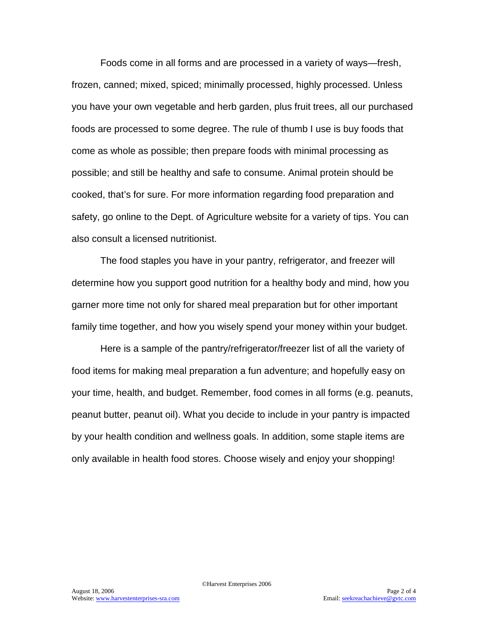Foods come in all forms and are processed in a variety of ways—fresh, frozen, canned; mixed, spiced; minimally processed, highly processed. Unless you have your own vegetable and herb garden, plus fruit trees, all our purchased foods are processed to some degree. The rule of thumb I use is buy foods that come as whole as possible; then prepare foods with minimal processing as possible; and still be healthy and safe to consume. Animal protein should be cooked, that's for sure. For more information regarding food preparation and safety, go online to the Dept. of Agriculture website for a variety of tips. You can also consult a licensed nutritionist.

The food staples you have in your pantry, refrigerator, and freezer will determine how you support good nutrition for a healthy body and mind, how you garner more time not only for shared meal preparation but for other important family time together, and how you wisely spend your money within your budget.

Here is a sample of the pantry/refrigerator/freezer list of all the variety of food items for making meal preparation a fun adventure; and hopefully easy on your time, health, and budget. Remember, food comes in all forms (e.g. peanuts, peanut butter, peanut oil). What you decide to include in your pantry is impacted by your health condition and wellness goals. In addition, some staple items are only available in health food stores. Choose wisely and enjoy your shopping!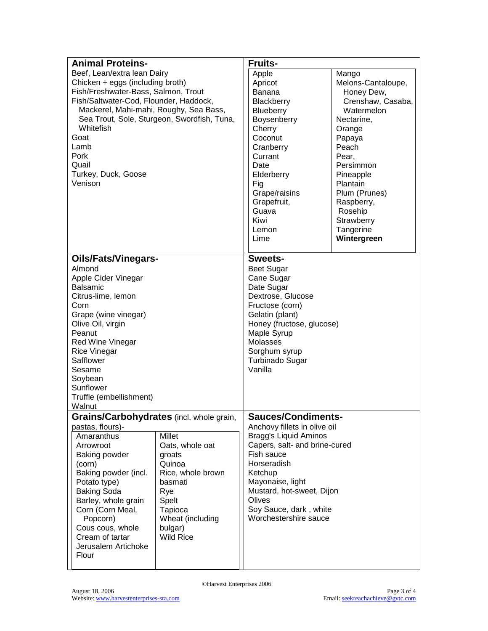| <b>Animal Proteins-</b>                                                               |                   | <b>Fruits-</b>                |                    |  |  |
|---------------------------------------------------------------------------------------|-------------------|-------------------------------|--------------------|--|--|
| Beef, Lean/extra lean Dairy                                                           |                   | Apple                         | Mango              |  |  |
| Chicken + eggs (including broth)                                                      |                   | Apricot                       | Melons-Cantaloupe, |  |  |
| Fish/Freshwater-Bass, Salmon, Trout                                                   |                   | <b>Banana</b>                 | Honey Dew,         |  |  |
| Fish/Saltwater-Cod, Flounder, Haddock,                                                |                   | Blackberry                    | Crenshaw, Casaba,  |  |  |
|                                                                                       |                   | Blueberry                     | Watermelon         |  |  |
| Mackerel, Mahi-mahi, Roughy, Sea Bass,<br>Sea Trout, Sole, Sturgeon, Swordfish, Tuna, |                   | Boysenberry                   | Nectarine,         |  |  |
| Whitefish                                                                             |                   | Cherry                        | Orange             |  |  |
| Goat                                                                                  |                   | Coconut                       | Papaya             |  |  |
| Lamb                                                                                  |                   |                               | Peach              |  |  |
|                                                                                       |                   | Cranberry<br>Currant          |                    |  |  |
| Pork                                                                                  |                   |                               | Pear,              |  |  |
| Quail                                                                                 |                   | Date                          | Persimmon          |  |  |
| Turkey, Duck, Goose                                                                   |                   | Elderberry<br>Fig             | Pineapple          |  |  |
|                                                                                       | Venison           |                               | Plantain           |  |  |
|                                                                                       |                   | Grape/raisins                 | Plum (Prunes)      |  |  |
|                                                                                       |                   | Grapefruit,                   | Raspberry,         |  |  |
|                                                                                       |                   | Guava                         | Rosehip            |  |  |
|                                                                                       |                   | Kiwi                          | Strawberry         |  |  |
|                                                                                       |                   | Lemon                         | Tangerine          |  |  |
|                                                                                       |                   | Lime                          | Wintergreen        |  |  |
|                                                                                       |                   |                               |                    |  |  |
| <b>Oils/Fats/Vinegars-</b>                                                            |                   | Sweets-                       |                    |  |  |
| Almond                                                                                |                   | <b>Beet Sugar</b>             |                    |  |  |
| Apple Cider Vinegar                                                                   |                   |                               | Cane Sugar         |  |  |
| <b>Balsamic</b>                                                                       |                   | Date Sugar                    |                    |  |  |
| Citrus-lime, lemon                                                                    |                   | Dextrose, Glucose             |                    |  |  |
| Corn                                                                                  |                   | Fructose (corn)               |                    |  |  |
| Grape (wine vinegar)                                                                  |                   | Gelatin (plant)               |                    |  |  |
| Olive Oil, virgin                                                                     |                   | Honey (fructose, glucose)     |                    |  |  |
| Peanut                                                                                |                   | Maple Syrup                   |                    |  |  |
| Red Wine Vinegar                                                                      |                   | Molasses                      |                    |  |  |
| <b>Rice Vinegar</b>                                                                   |                   | Sorghum syrup                 |                    |  |  |
| Safflower                                                                             |                   | Turbinado Sugar               |                    |  |  |
| Sesame                                                                                |                   |                               | Vanilla            |  |  |
| Soybean                                                                               |                   |                               |                    |  |  |
| Sunflower                                                                             |                   |                               |                    |  |  |
| Truffle (embellishment)                                                               |                   |                               |                    |  |  |
| Walnut                                                                                |                   |                               |                    |  |  |
| Grains/Carbohydrates (incl. whole grain,                                              |                   | <b>Sauces/Condiments-</b>     |                    |  |  |
| pastas, flours)-                                                                      |                   | Anchovy fillets in olive oil  |                    |  |  |
| Amaranthus                                                                            | <b>Millet</b>     | <b>Bragg's Liquid Aminos</b>  |                    |  |  |
| Arrowroot                                                                             | Oats, whole oat   | Capers, salt- and brine-cured |                    |  |  |
| Baking powder                                                                         | groats            | Fish sauce                    |                    |  |  |
| (corn)                                                                                | Quinoa            | Horseradish                   |                    |  |  |
| Baking powder (incl.                                                                  | Rice, whole brown | Ketchup                       |                    |  |  |
| Potato type)                                                                          | basmati           | Mayonaise, light              |                    |  |  |
| <b>Baking Soda</b>                                                                    | Rye               | Mustard, hot-sweet, Dijon     |                    |  |  |
| Barley, whole grain<br>Spelt                                                          |                   | Olives                        |                    |  |  |
| Corn (Corn Meal,                                                                      | Tapioca           | Soy Sauce, dark, white        |                    |  |  |
| Popcorn)                                                                              | Wheat (including  | Worchestershire sauce         |                    |  |  |
| Cous cous, whole                                                                      | bulgar)           |                               |                    |  |  |
| Cream of tartar                                                                       | <b>Wild Rice</b>  |                               |                    |  |  |
| Jerusalem Artichoke                                                                   |                   |                               |                    |  |  |
| Flour                                                                                 |                   |                               |                    |  |  |
|                                                                                       |                   |                               |                    |  |  |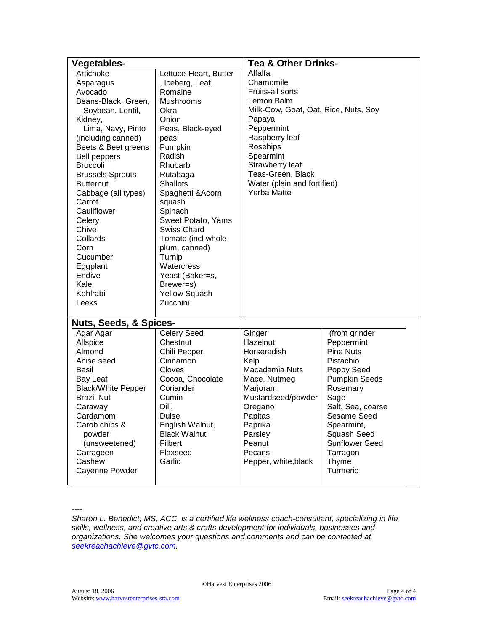| Vegetables-                                                                                                                                                                                                                                                                                                                                                                                              |                                                                                                                                                                                                                                                                                                                                                                                                               | <b>Tea &amp; Other Drinks-</b>                                                                                                                                                                                                                          |                                                                                                                                                                                                                                            |  |
|----------------------------------------------------------------------------------------------------------------------------------------------------------------------------------------------------------------------------------------------------------------------------------------------------------------------------------------------------------------------------------------------------------|---------------------------------------------------------------------------------------------------------------------------------------------------------------------------------------------------------------------------------------------------------------------------------------------------------------------------------------------------------------------------------------------------------------|---------------------------------------------------------------------------------------------------------------------------------------------------------------------------------------------------------------------------------------------------------|--------------------------------------------------------------------------------------------------------------------------------------------------------------------------------------------------------------------------------------------|--|
| Artichoke<br>Asparagus<br>Avocado<br>Beans-Black, Green,<br>Soybean, Lentil,<br>Kidney,<br>Lima, Navy, Pinto<br>(including canned)<br>Beets & Beet greens<br><b>Bell peppers</b><br><b>Broccoli</b><br><b>Brussels Sprouts</b><br><b>Butternut</b><br>Cabbage (all types)<br>Carrot<br>Cauliflower<br>Celery<br>Chive<br>Collards<br>Corn<br>Cucumber<br>Eggplant<br>Endive<br>Kale<br>Kohlrabi<br>Leeks | Lettuce-Heart, Butter<br>, Iceberg, Leaf,<br>Romaine<br><b>Mushrooms</b><br>Okra<br>Onion<br>Peas, Black-eyed<br>peas<br>Pumpkin<br>Radish<br>Rhubarb<br>Rutabaga<br><b>Shallots</b><br>Spaghetti & Acorn<br>squash<br>Spinach<br>Sweet Potato, Yams<br><b>Swiss Chard</b><br>Tomato (incl whole<br>plum, canned)<br>Turnip<br>Watercress<br>Yeast (Baker=s,<br>Brewer=s)<br><b>Yellow Squash</b><br>Zucchini | Alfalfa<br>Chamomile<br>Fruits-all sorts<br>Lemon Balm<br>Milk-Cow, Goat, Oat, Rice, Nuts, Soy<br>Papaya<br>Peppermint<br>Raspberry leaf<br>Rosehips<br>Spearmint<br>Strawberry leaf<br>Teas-Green, Black<br>Water (plain and fortified)<br>Yerba Matte |                                                                                                                                                                                                                                            |  |
| <b>Nuts, Seeds, &amp; Spices-</b>                                                                                                                                                                                                                                                                                                                                                                        |                                                                                                                                                                                                                                                                                                                                                                                                               |                                                                                                                                                                                                                                                         |                                                                                                                                                                                                                                            |  |
| Agar Agar<br>Allspice<br>Almond<br>Anise seed<br>Basil<br>Bay Leaf<br><b>Black/White Pepper</b><br><b>Brazil Nut</b><br>Caraway<br>Cardamom<br>Carob chips &<br>powder<br>(unsweetened)<br>Carrageen<br>Cashew<br>Cayenne Powder                                                                                                                                                                         | Celery Seed<br>Chestnut<br>Chili Pepper,<br>Cinnamon<br><b>Cloves</b><br>Cocoa, Chocolate<br>Coriander<br>Cumin<br>Dill,<br>Dulse<br>English Walnut,<br><b>Black Walnut</b><br>Filbert<br>Flaxseed<br>Garlic                                                                                                                                                                                                  | Ginger<br>Hazelnut<br>Horseradish<br>Kelp<br>Macadamia Nuts<br>Mace, Nutmeg<br>Marjoram<br>Mustardseed/powder<br>Oregano<br>Papitas,<br>Paprika<br>Parsley<br>Peanut<br>Pecans<br>Pepper, white, black                                                  | (from grinder<br>Peppermint<br><b>Pine Nuts</b><br>Pistachio<br>Poppy Seed<br><b>Pumpkin Seeds</b><br>Rosemary<br>Sage<br>Salt, Sea, coarse<br>Sesame Seed<br>Spearmint,<br>Squash Seed<br>Sunflower Seed<br>Tarragon<br>Thyme<br>Turmeric |  |

*----*

*Sharon L. Benedict, MS, ACC, is a certified life wellness coach-consultant, specializing in life skills, wellness, and creative arts & crafts development for individuals, businesses and organizations. She welcomes your questions and comments and can be contacted at [seekreachachieve@gvtc.com.](mailto:seekreachachieve@gvtc.com)*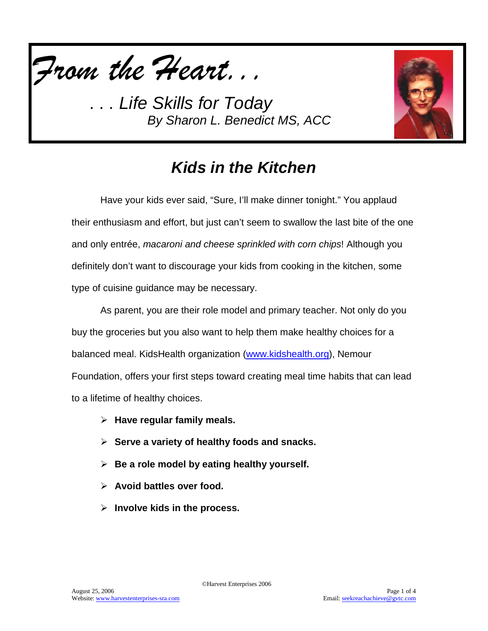



# *Kids in the Kitchen*

Have your kids ever said, "Sure, I'll make dinner tonight." You applaud their enthusiasm and effort, but just can't seem to swallow the last bite of the one and only entrée, *macaroni and cheese sprinkled with corn chips*! Although you definitely don't want to discourage your kids from cooking in the kitchen, some type of cuisine guidance may be necessary.

As parent, you are their role model and primary teacher. Not only do you buy the groceries but you also want to help them make healthy choices for a balanced meal. KidsHealth organization [\(www.kidshealth.org\)](http://www.kidshealth.org/), Nemour Foundation, offers your first steps toward creating meal time habits that can lead to a lifetime of healthy choices.

- **Have regular family meals.**
- **Serve a variety of healthy foods and snacks.**
- **Be a role model by eating healthy yourself.**
- **Avoid battles over food.**
- **Involve kids in the process.**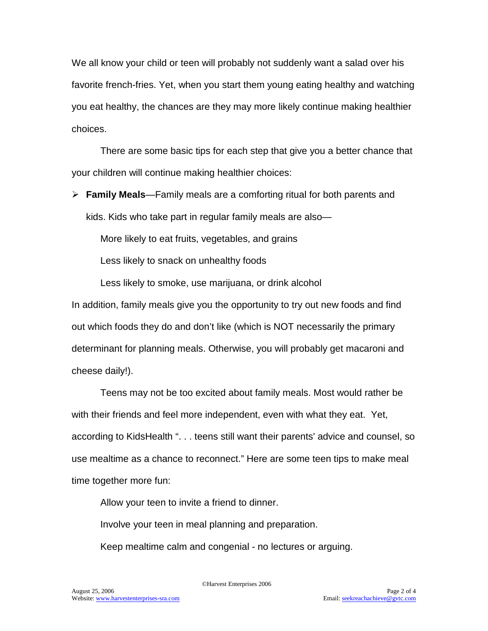We all know your child or teen will probably not suddenly want a salad over his favorite french-fries. Yet, when you start them young eating healthy and watching you eat healthy, the chances are they may more likely continue making healthier choices.

There are some basic tips for each step that give you a better chance that your children will continue making healthier choices:

 **Family Meals**—Family meals are a comforting ritual for both parents and kids. Kids who take part in regular family meals are also—

More likely to eat fruits, vegetables, and grains

Less likely to snack on unhealthy foods

Less likely to smoke, use marijuana, or drink alcohol

In addition, family meals give you the opportunity to try out new foods and find out which foods they do and don't like (which is NOT necessarily the primary determinant for planning meals. Otherwise, you will probably get macaroni and cheese daily!).

Teens may not be too excited about family meals. Most would rather be with their friends and feel more independent, even with what they eat. Yet, according to KidsHealth ". . . teens still want their parents' advice and counsel, so use mealtime as a chance to reconnect." Here are some teen tips to make meal time together more fun:

Allow your teen to invite a friend to dinner.

Involve your teen in meal planning and preparation.

Keep mealtime calm and congenial - no lectures or arguing.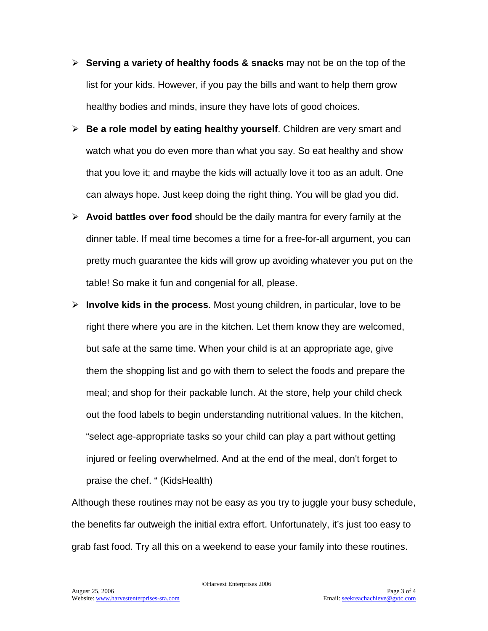- **Serving a variety of healthy foods & snacks** may not be on the top of the list for your kids. However, if you pay the bills and want to help them grow healthy bodies and minds, insure they have lots of good choices.
- **Be a role model by eating healthy yourself**. Children are very smart and watch what you do even more than what you say. So eat healthy and show that you love it; and maybe the kids will actually love it too as an adult. One can always hope. Just keep doing the right thing. You will be glad you did.
- **Avoid battles over food** should be the daily mantra for every family at the dinner table. If meal time becomes a time for a free-for-all argument, you can pretty much guarantee the kids will grow up avoiding whatever you put on the table! So make it fun and congenial for all, please.
- **Involve kids in the process**. Most young children, in particular, love to be right there where you are in the kitchen. Let them know they are welcomed, but safe at the same time. When your child is at an appropriate age, give them the shopping list and go with them to select the foods and prepare the meal; and shop for their packable lunch. At the store, help your child check out the food labels to begin understanding nutritional values. In the kitchen, "select age-appropriate tasks so your child can play a part without getting injured or feeling overwhelmed. And at the end of the meal, don't forget to praise the chef. " (KidsHealth)

Although these routines may not be easy as you try to juggle your busy schedule, the benefits far outweigh the initial extra effort. Unfortunately, it's just too easy to grab fast food. Try all this on a weekend to ease your family into these routines.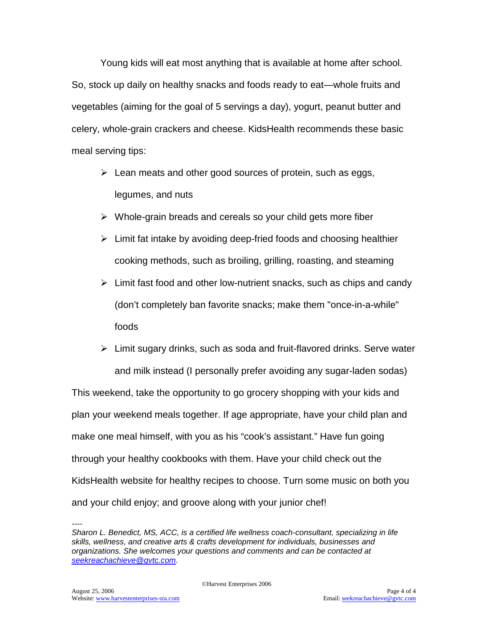Young kids will eat most anything that is available at home after school. So, stock up daily on healthy snacks and foods ready to eat—whole fruits and vegetables (aiming for the goal of 5 servings a day), yogurt, peanut butter and celery, whole-grain crackers and cheese. KidsHealth recommends these basic meal serving tips:

- $\triangleright$  Lean meats and other good sources of protein, such as eggs, legumes, and nuts
- $\triangleright$  Whole-grain breads and cereals so your child gets more fiber
- $\triangleright$  Limit fat intake by avoiding deep-fried foods and choosing healthier cooking methods, such as broiling, grilling, roasting, and steaming
- $\triangleright$  Limit fast food and other low-nutrient snacks, such as chips and candy (don't completely ban favorite snacks; make them "once-in-a-while" foods
- $\triangleright$  Limit sugary drinks, such as soda and fruit-flavored drinks. Serve water and milk instead (I personally prefer avoiding any sugar-laden sodas)

This weekend, take the opportunity to go grocery shopping with your kids and plan your weekend meals together. If age appropriate, have your child plan and make one meal himself, with you as his "cook's assistant." Have fun going through your healthy cookbooks with them. Have your child check out the KidsHealth website for healthy recipes to choose. Turn some music on both you and your child enjoy; and groove along with your junior chef!

*<sup>----</sup> Sharon L. Benedict, MS, ACC, is a certified life wellness coach-consultant, specializing in life skills, wellness, and creative arts & crafts development for individuals, businesses and organizations. She welcomes your questions and comments and can be contacted at [seekreachachieve@gvtc.com.](mailto:seekreachachieve@gvtc.com)*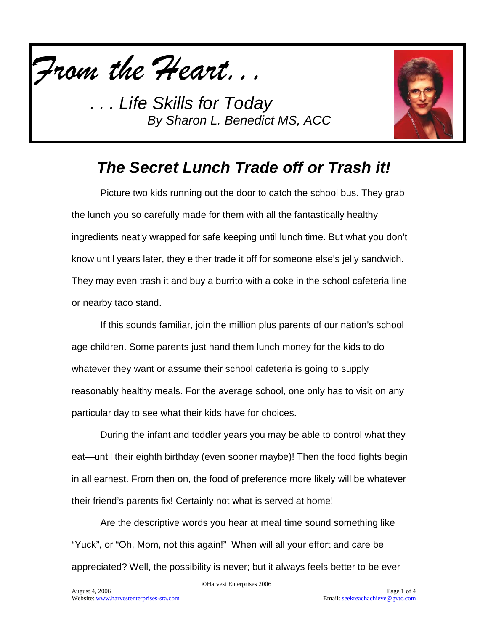



#### *The Secret Lunch Trade off or Trash it!*

Picture two kids running out the door to catch the school bus. They grab the lunch you so carefully made for them with all the fantastically healthy ingredients neatly wrapped for safe keeping until lunch time. But what you don't know until years later, they either trade it off for someone else's jelly sandwich. They may even trash it and buy a burrito with a coke in the school cafeteria line or nearby taco stand.

If this sounds familiar, join the million plus parents of our nation's school age children. Some parents just hand them lunch money for the kids to do whatever they want or assume their school cafeteria is going to supply reasonably healthy meals. For the average school, one only has to visit on any particular day to see what their kids have for choices.

During the infant and toddler years you may be able to control what they eat—until their eighth birthday (even sooner maybe)! Then the food fights begin in all earnest. From then on, the food of preference more likely will be whatever their friend's parents fix! Certainly not what is served at home!

Are the descriptive words you hear at meal time sound something like "Yuck", or "Oh, Mom, not this again!" When will all your effort and care be appreciated? Well, the possibility is never; but it always feels better to be ever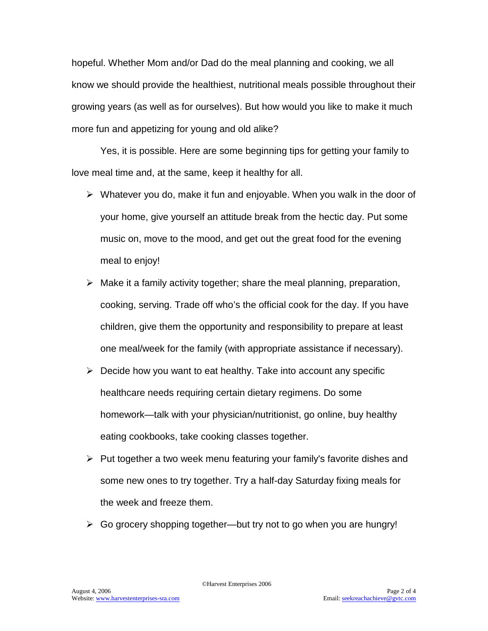hopeful. Whether Mom and/or Dad do the meal planning and cooking, we all know we should provide the healthiest, nutritional meals possible throughout their growing years (as well as for ourselves). But how would you like to make it much more fun and appetizing for young and old alike?

Yes, it is possible. Here are some beginning tips for getting your family to love meal time and, at the same, keep it healthy for all.

- $\triangleright$  Whatever you do, make it fun and enjoyable. When you walk in the door of your home, give yourself an attitude break from the hectic day. Put some music on, move to the mood, and get out the great food for the evening meal to enjoy!
- $\triangleright$  Make it a family activity together; share the meal planning, preparation, cooking, serving. Trade off who's the official cook for the day. If you have children, give them the opportunity and responsibility to prepare at least one meal/week for the family (with appropriate assistance if necessary).
- $\triangleright$  Decide how you want to eat healthy. Take into account any specific healthcare needs requiring certain dietary regimens. Do some homework—talk with your physician/nutritionist, go online, buy healthy eating cookbooks, take cooking classes together.
- $\triangleright$  Put together a two week menu featuring your family's favorite dishes and some new ones to try together. Try a half-day Saturday fixing meals for the week and freeze them.
- $\triangleright$  Go grocery shopping together—but try not to go when you are hungry!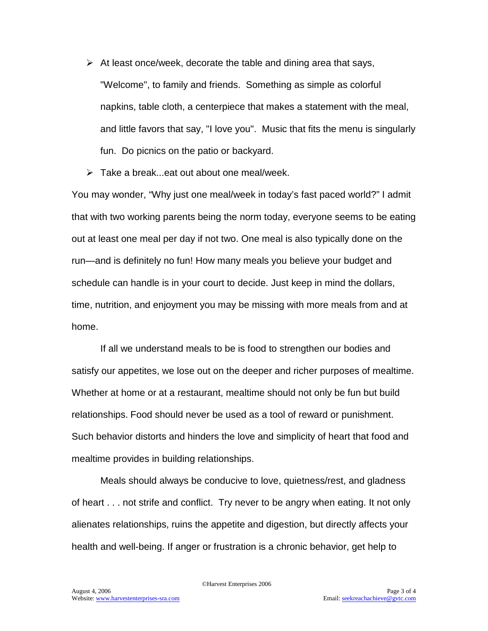- $\triangleright$  At least once/week, decorate the table and dining area that says, "Welcome", to family and friends. Something as simple as colorful napkins, table cloth, a centerpiece that makes a statement with the meal, and little favors that say, "I love you". Music that fits the menu is singularly fun. Do picnics on the patio or backyard.
- $\triangleright$  Take a break...eat out about one meal/week.

You may wonder, "Why just one meal/week in today's fast paced world?" I admit that with two working parents being the norm today, everyone seems to be eating out at least one meal per day if not two. One meal is also typically done on the run—and is definitely no fun! How many meals you believe your budget and schedule can handle is in your court to decide. Just keep in mind the dollars, time, nutrition, and enjoyment you may be missing with more meals from and at home.

If all we understand meals to be is food to strengthen our bodies and satisfy our appetites, we lose out on the deeper and richer purposes of mealtime. Whether at home or at a restaurant, mealtime should not only be fun but build relationships. Food should never be used as a tool of reward or punishment. Such behavior distorts and hinders the love and simplicity of heart that food and mealtime provides in building relationships.

Meals should always be conducive to love, quietness/rest, and gladness of heart . . . not strife and conflict. Try never to be angry when eating. It not only alienates relationships, ruins the appetite and digestion, but directly affects your health and well-being. If anger or frustration is a chronic behavior, get help to